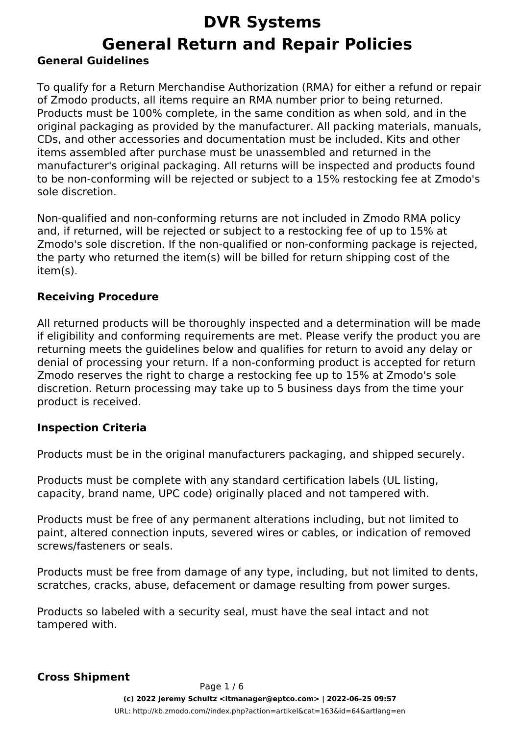### **DVR Systems General Return and Repair Policies General Guidelines**

To qualify for a Return Merchandise Authorization (RMA) for either a refund or repair of Zmodo products, all items require an RMA number prior to being returned. Products must be 100% complete, in the same condition as when sold, and in the original packaging as provided by the manufacturer. All packing materials, manuals, CDs, and other accessories and documentation must be included. Kits and other items assembled after purchase must be unassembled and returned in the manufacturer's original packaging. All returns will be inspected and products found to be non-conforming will be rejected or subject to a 15% restocking fee at Zmodo's sole discretion.

Non-qualified and non-conforming returns are not included in Zmodo RMA policy and, if returned, will be rejected or subject to a restocking fee of up to 15% at Zmodo's sole discretion. If the non-qualified or non-conforming package is rejected, the party who returned the item(s) will be billed for return shipping cost of the item(s).

#### **Receiving Procedure**

All returned products will be thoroughly inspected and a determination will be made if eligibility and conforming requirements are met. Please verify the product you are returning meets the guidelines below and qualifies for return to avoid any delay or denial of processing your return. If a non-conforming product is accepted for return Zmodo reserves the right to charge a restocking fee up to 15% at Zmodo's sole discretion. Return processing may take up to 5 business days from the time your product is received.

#### **Inspection Criteria**

Products must be in the original manufacturers packaging, and shipped securely.

Products must be complete with any standard certification labels (UL listing, capacity, brand name, UPC code) originally placed and not tampered with.

Products must be free of any permanent alterations including, but not limited to paint, altered connection inputs, severed wires or cables, or indication of removed screws/fasteners or seals.

Products must be free from damage of any type, including, but not limited to dents, scratches, cracks, abuse, defacement or damage resulting from power surges.

Products so labeled with a security seal, must have the seal intact and not tampered with.

#### **Cross Shipment**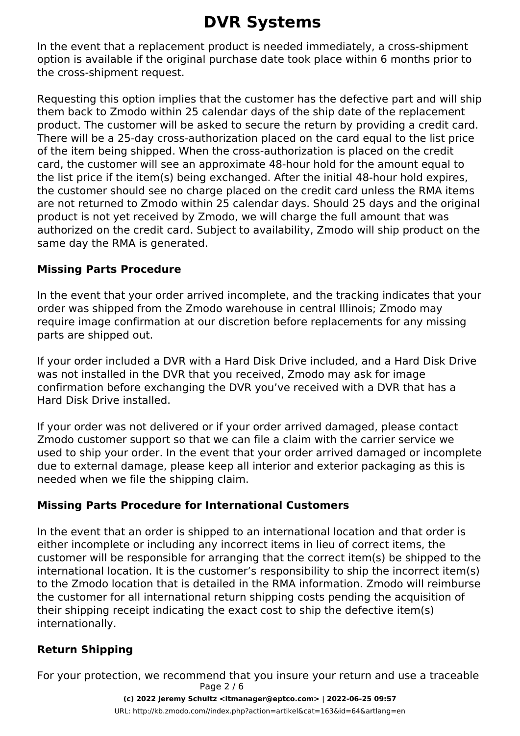In the event that a replacement product is needed immediately, a cross-shipment option is available if the original purchase date took place within 6 months prior to the cross-shipment request.

Requesting this option implies that the customer has the defective part and will ship them back to Zmodo within 25 calendar days of the ship date of the replacement product. The customer will be asked to secure the return by providing a credit card. There will be a 25-day cross-authorization placed on the card equal to the list price of the item being shipped. When the cross-authorization is placed on the credit card, the customer will see an approximate 48-hour hold for the amount equal to the list price if the item(s) being exchanged. After the initial 48-hour hold expires, the customer should see no charge placed on the credit card unless the RMA items are not returned to Zmodo within 25 calendar days. Should 25 days and the original product is not yet received by Zmodo, we will charge the full amount that was authorized on the credit card. Subject to availability, Zmodo will ship product on the same day the RMA is generated.

#### **Missing Parts Procedure**

In the event that your order arrived incomplete, and the tracking indicates that your order was shipped from the Zmodo warehouse in central Illinois; Zmodo may require image confirmation at our discretion before replacements for any missing parts are shipped out.

If your order included a DVR with a Hard Disk Drive included, and a Hard Disk Drive was not installed in the DVR that you received, Zmodo may ask for image confirmation before exchanging the DVR you've received with a DVR that has a Hard Disk Drive installed.

If your order was not delivered or if your order arrived damaged, please contact Zmodo customer support so that we can file a claim with the carrier service we used to ship your order. In the event that your order arrived damaged or incomplete due to external damage, please keep all interior and exterior packaging as this is needed when we file the shipping claim.

#### **Missing Parts Procedure for International Customers**

In the event that an order is shipped to an international location and that order is either incomplete or including any incorrect items in lieu of correct items, the customer will be responsible for arranging that the correct item(s) be shipped to the international location. It is the customer's responsibility to ship the incorrect item(s) to the Zmodo location that is detailed in the RMA information. Zmodo will reimburse the customer for all international return shipping costs pending the acquisition of their shipping receipt indicating the exact cost to ship the defective item(s) internationally.

#### **Return Shipping**

For your protection, we recommend that you insure your return and use a traceable Page 2 / 6

> **(c) 2022 Jeremy Schultz <itmanager@eptco.com> | 2022-06-25 09:57** [URL: http://kb.zmodo.com//index.php?action=artikel&cat=163&id=64&artlang=en](http://kb.zmodo.com//index.php?action=artikel&cat=163&id=64&artlang=en)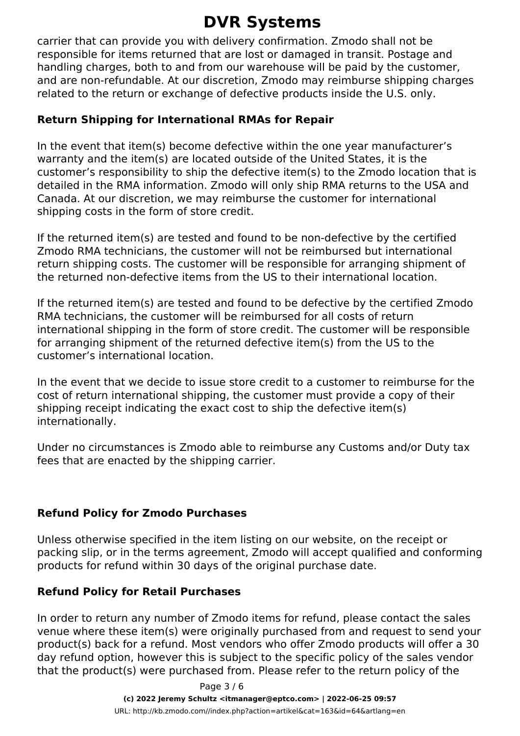carrier that can provide you with delivery confirmation. Zmodo shall not be responsible for items returned that are lost or damaged in transit. Postage and handling charges, both to and from our warehouse will be paid by the customer, and are non-refundable. At our discretion, Zmodo may reimburse shipping charges related to the return or exchange of defective products inside the U.S. only.

#### **Return Shipping for International RMAs for Repair**

In the event that item(s) become defective within the one year manufacturer's warranty and the item(s) are located outside of the United States, it is the customer's responsibility to ship the defective item(s) to the Zmodo location that is detailed in the RMA information. Zmodo will only ship RMA returns to the USA and Canada. At our discretion, we may reimburse the customer for international shipping costs in the form of store credit.

If the returned item(s) are tested and found to be non-defective by the certified Zmodo RMA technicians, the customer will not be reimbursed but international return shipping costs. The customer will be responsible for arranging shipment of the returned non-defective items from the US to their international location.

If the returned item(s) are tested and found to be defective by the certified Zmodo RMA technicians, the customer will be reimbursed for all costs of return international shipping in the form of store credit. The customer will be responsible for arranging shipment of the returned defective item(s) from the US to the customer's international location.

In the event that we decide to issue store credit to a customer to reimburse for the cost of return international shipping, the customer must provide a copy of their shipping receipt indicating the exact cost to ship the defective item(s) internationally.

Under no circumstances is Zmodo able to reimburse any Customs and/or Duty tax fees that are enacted by the shipping carrier.

#### **Refund Policy for Zmodo Purchases**

Unless otherwise specified in the item listing on our website, on the receipt or packing slip, or in the terms agreement, Zmodo will accept qualified and conforming products for refund within 30 days of the original purchase date.

#### **Refund Policy for Retail Purchases**

In order to return any number of Zmodo items for refund, please contact the sales venue where these item(s) were originally purchased from and request to send your product(s) back for a refund. Most vendors who offer Zmodo products will offer a 30 day refund option, however this is subject to the specific policy of the sales vendor that the product(s) were purchased from. Please refer to the return policy of the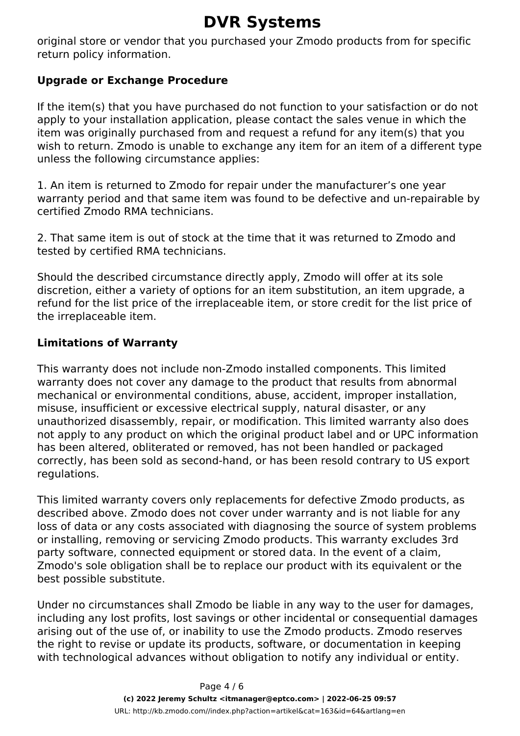original store or vendor that you purchased your Zmodo products from for specific return policy information.

#### **Upgrade or Exchange Procedure**

If the item(s) that you have purchased do not function to your satisfaction or do not apply to your installation application, please contact the sales venue in which the item was originally purchased from and request a refund for any item(s) that you wish to return. Zmodo is unable to exchange any item for an item of a different type unless the following circumstance applies:

1. An item is returned to Zmodo for repair under the manufacturer's one year warranty period and that same item was found to be defective and un-repairable by certified Zmodo RMA technicians.

2. That same item is out of stock at the time that it was returned to Zmodo and tested by certified RMA technicians.

Should the described circumstance directly apply, Zmodo will offer at its sole discretion, either a variety of options for an item substitution, an item upgrade, a refund for the list price of the irreplaceable item, or store credit for the list price of the irreplaceable item.

#### **Limitations of Warranty**

This warranty does not include non-Zmodo installed components. This limited warranty does not cover any damage to the product that results from abnormal mechanical or environmental conditions, abuse, accident, improper installation, misuse, insufficient or excessive electrical supply, natural disaster, or any unauthorized disassembly, repair, or modification. This limited warranty also does not apply to any product on which the original product label and or UPC information has been altered, obliterated or removed, has not been handled or packaged correctly, has been sold as second-hand, or has been resold contrary to US export regulations.

This limited warranty covers only replacements for defective Zmodo products, as described above. Zmodo does not cover under warranty and is not liable for any loss of data or any costs associated with diagnosing the source of system problems or installing, removing or servicing Zmodo products. This warranty excludes 3rd party software, connected equipment or stored data. In the event of a claim, Zmodo's sole obligation shall be to replace our product with its equivalent or the best possible substitute.

Under no circumstances shall Zmodo be liable in any way to the user for damages, including any lost profits, lost savings or other incidental or consequential damages arising out of the use of, or inability to use the Zmodo products. Zmodo reserves the right to revise or update its products, software, or documentation in keeping with technological advances without obligation to notify any individual or entity.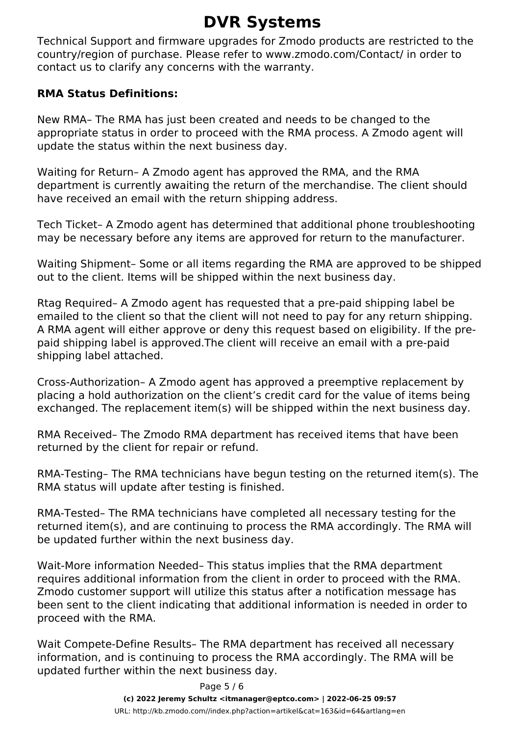Technical Support and firmware upgrades for Zmodo products are restricted to the country/region of purchase. Please refer to www.zmodo.com/Contact/ in order to contact us to clarify any concerns with the warranty.

#### **RMA Status Definitions:**

New RMA– The RMA has just been created and needs to be changed to the appropriate status in order to proceed with the RMA process. A Zmodo agent will update the status within the next business day.

Waiting for Return– A Zmodo agent has approved the RMA, and the RMA department is currently awaiting the return of the merchandise. The client should have received an email with the return shipping address.

Tech Ticket– A Zmodo agent has determined that additional phone troubleshooting may be necessary before any items are approved for return to the manufacturer.

Waiting Shipment– Some or all items regarding the RMA are approved to be shipped out to the client. Items will be shipped within the next business day.

Rtag Required– A Zmodo agent has requested that a pre-paid shipping label be emailed to the client so that the client will not need to pay for any return shipping. A RMA agent will either approve or deny this request based on eligibility. If the prepaid shipping label is approved.The client will receive an email with a pre-paid shipping label attached.

Cross-Authorization– A Zmodo agent has approved a preemptive replacement by placing a hold authorization on the client's credit card for the value of items being exchanged. The replacement item(s) will be shipped within the next business day.

RMA Received– The Zmodo RMA department has received items that have been returned by the client for repair or refund.

RMA-Testing– The RMA technicians have begun testing on the returned item(s). The RMA status will update after testing is finished.

RMA-Tested– The RMA technicians have completed all necessary testing for the returned item(s), and are continuing to process the RMA accordingly. The RMA will be updated further within the next business day.

Wait-More information Needed– This status implies that the RMA department requires additional information from the client in order to proceed with the RMA. Zmodo customer support will utilize this status after a notification message has been sent to the client indicating that additional information is needed in order to proceed with the RMA.

Wait Compete-Define Results– The RMA department has received all necessary information, and is continuing to process the RMA accordingly. The RMA will be updated further within the next business day.